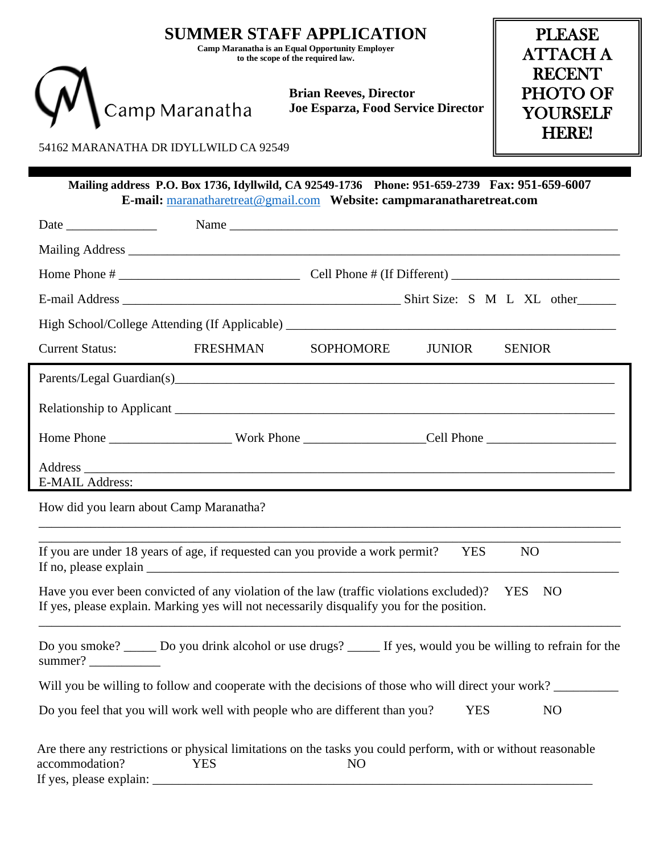|                                                                                               | <b>PLEASE</b><br><b>ATTACH A</b><br><b>RECENT</b> |                                                                                                                                                                                      |                                             |                  |  |  |  |  |
|-----------------------------------------------------------------------------------------------|---------------------------------------------------|--------------------------------------------------------------------------------------------------------------------------------------------------------------------------------------|---------------------------------------------|------------------|--|--|--|--|
| Camp Maranatha                                                                                |                                                   | <b>Brian Reeves, Director</b><br>Joe Esparza, Food Service Director                                                                                                                  | PHOTO OF<br><b>YOURSELF</b><br><b>HERE!</b> |                  |  |  |  |  |
| 54162 MARANATHA DR IDYLLWILD CA 92549                                                         |                                                   |                                                                                                                                                                                      |                                             |                  |  |  |  |  |
| Mailing address P.O. Box 1736, Idyllwild, CA 92549-1736 Phone: 951-659-2739 Fax: 951-659-6007 |                                                   |                                                                                                                                                                                      |                                             |                  |  |  |  |  |
|                                                                                               |                                                   |                                                                                                                                                                                      |                                             |                  |  |  |  |  |
|                                                                                               |                                                   |                                                                                                                                                                                      |                                             |                  |  |  |  |  |
|                                                                                               |                                                   |                                                                                                                                                                                      |                                             |                  |  |  |  |  |
|                                                                                               |                                                   |                                                                                                                                                                                      |                                             |                  |  |  |  |  |
|                                                                                               |                                                   |                                                                                                                                                                                      |                                             |                  |  |  |  |  |
| <b>Current Status:</b>                                                                        | <b>FRESHMAN</b>                                   | SOPHOMORE                                                                                                                                                                            | <b>JUNIOR</b>                               | <b>SENIOR</b>    |  |  |  |  |
| <b>E-MAIL Address:</b>                                                                        |                                                   |                                                                                                                                                                                      |                                             |                  |  |  |  |  |
| How did you learn about Camp Maranatha?                                                       |                                                   |                                                                                                                                                                                      |                                             |                  |  |  |  |  |
|                                                                                               |                                                   | If you are under 18 years of age, if requested can you provide a work permit?                                                                                                        | <b>YES</b>                                  | N <sub>O</sub>   |  |  |  |  |
|                                                                                               |                                                   | Have you ever been convicted of any violation of the law (traffic violations excluded)?<br>If yes, please explain. Marking yes will not necessarily disqualify you for the position. |                                             | <b>YES</b><br>NO |  |  |  |  |
| summer? $\frac{1}{\sqrt{1-\frac{1}{2}}\cdot\frac{1}{\sqrt{1-\frac{1}{2}}}}$                   |                                                   | Do you smoke? _____ Do you drink alcohol or use drugs? _____ If yes, would you be willing to refrain for the                                                                         |                                             |                  |  |  |  |  |
|                                                                                               |                                                   | Will you be willing to follow and cooperate with the decisions of those who will direct your work?                                                                                   |                                             |                  |  |  |  |  |
|                                                                                               |                                                   | Do you feel that you will work well with people who are different than you?                                                                                                          | <b>YES</b>                                  | N <sub>O</sub>   |  |  |  |  |
| accommodation?                                                                                | <b>YES</b>                                        | Are there any restrictions or physical limitations on the tasks you could perform, with or without reasonable<br>N <sub>O</sub>                                                      |                                             |                  |  |  |  |  |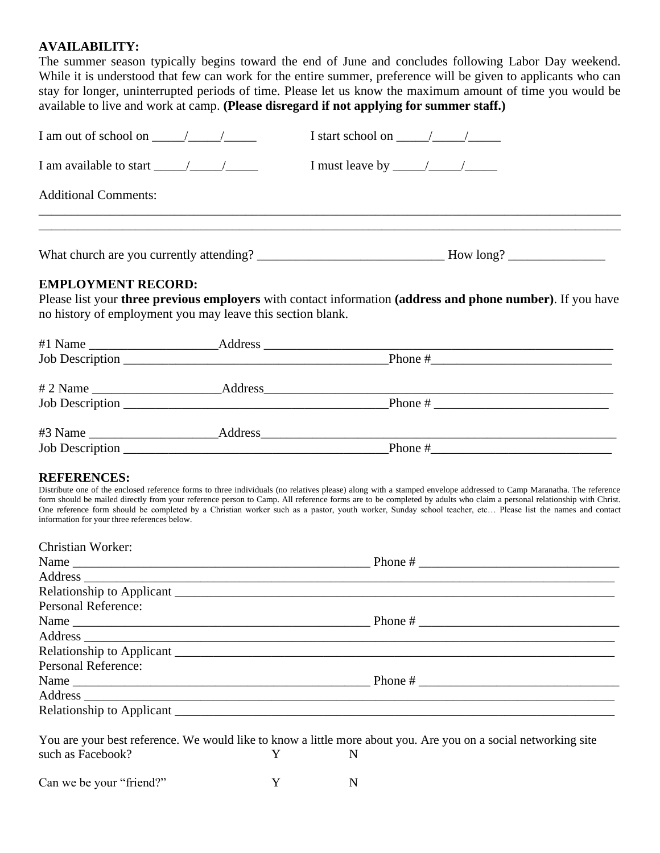#### **AVAILABILITY:**

The summer season typically begins toward the end of June and concludes following Labor Day weekend. While it is understood that few can work for the entire summer, preference will be given to applicants who can stay for longer, uninterrupted periods of time. Please let us know the maximum amount of time you would be available to live and work at camp. **(Please disregard if not applying for summer staff.)**

| I am out of school on $\frac{\sqrt{2}}{2}$                                                                                                                                                                                                                                                                                                                                                                                                                                                                                                                                   |   |                         | I start school on $\frac{\sqrt{2}}{2}$ |  |  |  |
|------------------------------------------------------------------------------------------------------------------------------------------------------------------------------------------------------------------------------------------------------------------------------------------------------------------------------------------------------------------------------------------------------------------------------------------------------------------------------------------------------------------------------------------------------------------------------|---|-------------------------|----------------------------------------|--|--|--|
|                                                                                                                                                                                                                                                                                                                                                                                                                                                                                                                                                                              |   |                         | I must leave by $\frac{\sqrt{2}}{2}$   |  |  |  |
| <b>Additional Comments:</b>                                                                                                                                                                                                                                                                                                                                                                                                                                                                                                                                                  |   |                         |                                        |  |  |  |
|                                                                                                                                                                                                                                                                                                                                                                                                                                                                                                                                                                              |   |                         |                                        |  |  |  |
| <b>EMPLOYMENT RECORD:</b><br>Please list your three previous employers with contact information (address and phone number). If you have<br>no history of employment you may leave this section blank.                                                                                                                                                                                                                                                                                                                                                                        |   |                         |                                        |  |  |  |
|                                                                                                                                                                                                                                                                                                                                                                                                                                                                                                                                                                              |   |                         |                                        |  |  |  |
|                                                                                                                                                                                                                                                                                                                                                                                                                                                                                                                                                                              |   |                         |                                        |  |  |  |
|                                                                                                                                                                                                                                                                                                                                                                                                                                                                                                                                                                              |   |                         |                                        |  |  |  |
|                                                                                                                                                                                                                                                                                                                                                                                                                                                                                                                                                                              |   |                         |                                        |  |  |  |
|                                                                                                                                                                                                                                                                                                                                                                                                                                                                                                                                                                              |   |                         |                                        |  |  |  |
|                                                                                                                                                                                                                                                                                                                                                                                                                                                                                                                                                                              |   |                         |                                        |  |  |  |
|                                                                                                                                                                                                                                                                                                                                                                                                                                                                                                                                                                              |   |                         |                                        |  |  |  |
| <b>REFERENCES:</b><br>Distribute one of the enclosed reference forms to three individuals (no relatives please) along with a stamped envelope addressed to Camp Maranatha. The reference<br>form should be mailed directly from your reference person to Camp. All reference forms are to be completed by adults who claim a personal relationship with Christ.<br>One reference form should be completed by a Christian worker such as a pastor, youth worker, Sunday school teacher, etc Please list the names and contact<br>information for your three references below. |   |                         |                                        |  |  |  |
| Christian Worker:                                                                                                                                                                                                                                                                                                                                                                                                                                                                                                                                                            |   |                         |                                        |  |  |  |
|                                                                                                                                                                                                                                                                                                                                                                                                                                                                                                                                                                              |   |                         |                                        |  |  |  |
|                                                                                                                                                                                                                                                                                                                                                                                                                                                                                                                                                                              |   |                         |                                        |  |  |  |
|                                                                                                                                                                                                                                                                                                                                                                                                                                                                                                                                                                              |   |                         |                                        |  |  |  |
| Personal Reference:                                                                                                                                                                                                                                                                                                                                                                                                                                                                                                                                                          |   |                         |                                        |  |  |  |
|                                                                                                                                                                                                                                                                                                                                                                                                                                                                                                                                                                              |   |                         |                                        |  |  |  |
|                                                                                                                                                                                                                                                                                                                                                                                                                                                                                                                                                                              |   |                         |                                        |  |  |  |
| <b>Personal Reference:</b>                                                                                                                                                                                                                                                                                                                                                                                                                                                                                                                                                   |   |                         |                                        |  |  |  |
|                                                                                                                                                                                                                                                                                                                                                                                                                                                                                                                                                                              |   |                         |                                        |  |  |  |
|                                                                                                                                                                                                                                                                                                                                                                                                                                                                                                                                                                              |   |                         |                                        |  |  |  |
|                                                                                                                                                                                                                                                                                                                                                                                                                                                                                                                                                                              |   |                         |                                        |  |  |  |
|                                                                                                                                                                                                                                                                                                                                                                                                                                                                                                                                                                              |   |                         |                                        |  |  |  |
| You are your best reference. We would like to know a little more about you. Are you on a social networking site                                                                                                                                                                                                                                                                                                                                                                                                                                                              |   |                         |                                        |  |  |  |
| such as Facebook?                                                                                                                                                                                                                                                                                                                                                                                                                                                                                                                                                            | Y | N                       |                                        |  |  |  |
| Can we be your "friend?"                                                                                                                                                                                                                                                                                                                                                                                                                                                                                                                                                     |   | $Y \sim$<br>$\mathbf N$ |                                        |  |  |  |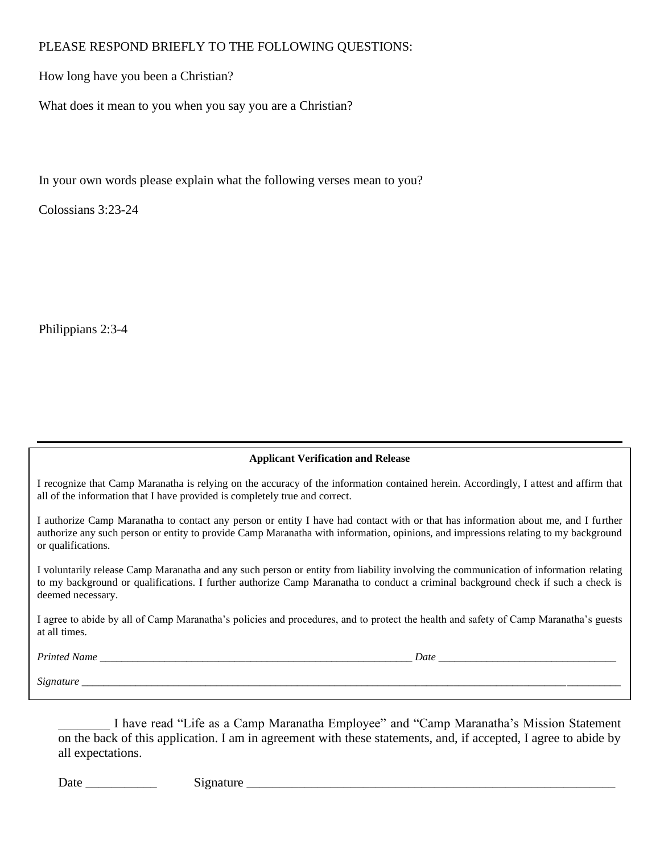### PLEASE RESPOND BRIEFLY TO THE FOLLOWING QUESTIONS:

How long have you been a Christian?

What does it mean to you when you say you are a Christian?

In your own words please explain what the following verses mean to you?

Colossians 3:23-24

Philippians 2:3-4

#### **Applicant Verification and Release**

I recognize that Camp Maranatha is relying on the accuracy of the information contained herein. Accordingly, I attest and affirm that all of the information that I have provided is completely true and correct.

I authorize Camp Maranatha to contact any person or entity I have had contact with or that has information about me, and I further authorize any such person or entity to provide Camp Maranatha with information, opinions, and impressions relating to my background or qualifications.

I voluntarily release Camp Maranatha and any such person or entity from liability involving the communication of information relating to my background or qualifications. I further authorize Camp Maranatha to conduct a criminal background check if such a check is deemed necessary.

I agree to abide by all of Camp Maranatha's policies and procedures, and to protect the health and safety of Camp Maranatha's guests at all times.

*Printed Name \_\_\_\_\_\_\_\_\_\_\_\_\_\_\_\_\_\_\_\_\_\_\_\_\_\_\_\_\_\_\_\_\_\_\_\_\_\_\_\_\_\_\_\_\_\_\_\_\_\_\_\_\_\_\_\_\_\_ Date \_\_\_\_\_\_\_\_\_\_\_\_\_\_\_\_\_\_\_\_\_\_\_\_\_\_\_\_\_\_\_\_\_*

*Signature \_\_\_\_\_\_\_\_\_\_\_\_\_\_\_\_\_\_\_\_\_\_\_\_\_\_\_\_\_\_\_\_\_\_\_\_\_\_\_\_\_\_\_\_\_\_\_\_\_\_\_\_\_\_\_\_\_\_\_\_\_\_\_\_\_\_\_\_\_\_\_\_\_\_\_\_\_\_\_\_\_\_\_\_\_\_\_\_\_\_\_\_\_\_\_\_\_\_\_\_*

\_\_\_\_\_\_\_\_ I have read "Life as a Camp Maranatha Employee" and "Camp Maranatha's Mission Statement on the back of this application. I am in agreement with these statements, and, if accepted, I agree to abide by all expectations.

Date \_\_\_\_\_\_\_\_\_\_\_ Signature \_\_\_\_\_\_\_\_\_\_\_\_\_\_\_\_\_\_\_\_\_\_\_\_\_\_\_\_\_\_\_\_\_\_\_\_\_\_\_\_\_\_\_\_\_\_\_\_\_\_\_\_\_\_\_\_\_